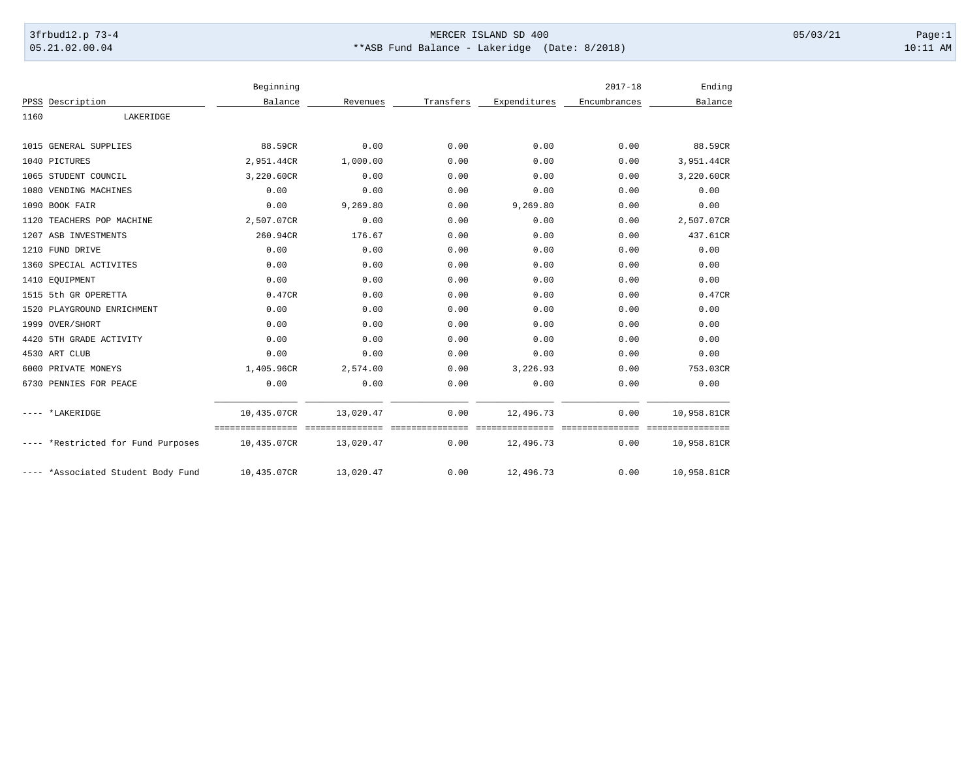## 3frbud12.p 73-4 Page:1 Page:1 05.21.02.00.04 \*\*ASB Fund Balance - Lakeridge (Date: 8/2018) 10:11 AM

|      |                                    | Beginning                                        |           |                          |                              | $2017 - 18$              | Ending                     |
|------|------------------------------------|--------------------------------------------------|-----------|--------------------------|------------------------------|--------------------------|----------------------------|
|      | PPSS Description                   | Balance                                          | Revenues  | Transfers                | Expenditures                 | Encumbrances             | Balance                    |
| 1160 | LAKERIDGE                          |                                                  |           |                          |                              |                          |                            |
|      | 1015 GENERAL SUPPLIES              | 88.59CR                                          | 0.00      | 0.00                     | 0.00                         | 0.00                     | 88.59CR                    |
|      | 1040 PICTURES                      | 2,951.44CR                                       | 1,000.00  | 0.00                     | 0.00                         | 0.00                     | 3,951.44CR                 |
|      | 1065 STUDENT COUNCIL               | 3,220.60CR                                       | 0.00      | 0.00                     | 0.00                         | 0.00                     | 3,220.60CR                 |
|      | 1080 VENDING MACHINES              | 0.00                                             | 0.00      | 0.00                     | 0.00                         | 0.00                     | 0.00                       |
|      | 1090 BOOK FAIR                     | 0.00                                             | 9,269.80  | 0.00                     | 9,269.80                     | 0.00                     | 0.00                       |
|      | 1120 TEACHERS POP MACHINE          | 2,507.07CR                                       | 0.00      | 0.00                     | 0.00                         | 0.00                     | 2,507.07CR                 |
|      | 1207 ASB INVESTMENTS               | 260.94CR                                         | 176.67    | 0.00                     | 0.00                         | 0.00                     | 437.61CR                   |
|      | 1210 FUND DRIVE                    | 0.00                                             | 0.00      | 0.00                     | 0.00                         | 0.00                     | 0.00                       |
|      | 1360 SPECIAL ACTIVITES             | 0.00                                             | 0.00      | 0.00                     | 0.00                         | 0.00                     | 0.00                       |
|      | 1410 EQUIPMENT                     | 0.00                                             | 0.00      | 0.00                     | 0.00                         | 0.00                     | 0.00                       |
|      | 1515 5th GR OPERETTA               | 0.47CR                                           | 0.00      | 0.00                     | 0.00                         | 0.00                     | 0.47CR                     |
|      | 1520 PLAYGROUND ENRICHMENT         | 0.00                                             | 0.00      | 0.00                     | 0.00                         | 0.00                     | 0.00                       |
|      | 1999 OVER/SHORT                    | 0.00                                             | 0.00      | 0.00                     | 0.00                         | 0.00                     | 0.00                       |
|      | 4420 5TH GRADE ACTIVITY            | 0.00                                             | 0.00      | 0.00                     | 0.00                         | 0.00                     | 0.00                       |
|      | 4530 ART CLUB                      | 0.00                                             | 0.00      | 0.00                     | 0.00                         | 0.00                     | 0.00                       |
|      | 6000 PRIVATE MONEYS                | 1,405.96CR                                       | 2,574.00  | 0.00                     | 3,226.93                     | 0.00                     | 753.03CR                   |
|      | 6730 PENNIES FOR PEACE             | 0.00                                             | 0.00      | 0.00                     | 0.00                         | 0.00                     | 0.00                       |
|      | *LAKERIDGE                         | 10,435.07CR                                      | 13,020.47 | 0.00                     | 12,496.73                    | 0.00                     | 10,958.81CR                |
|      | ---- *Restricted for Fund Purposes | =================================<br>10,435.07CR | 13,020.47 | <b>Concococo</b><br>0.00 | seesseesseesses<br>12,496.73 | <b>Cooperate</b><br>0.00 | ===========<br>10,958.81CR |
|      | ---- *Associated Student Body Fund | 10,435.07CR                                      | 13,020.47 | 0.00                     | 12,496.73                    | 0.00                     | 10,958.81CR                |